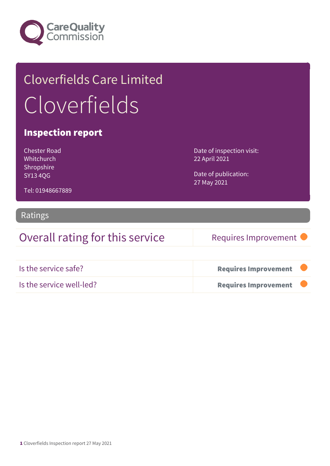

## Cloverfields Care Limited Cloverfields

#### Inspection report

Chester Road Whitchurch Shropshire SY13 4QG

Date of inspection visit: 22 April 2021

Date of publication: 27 May 2021

Tel: 01948667889

#### Ratings

Overall rating for this service Requires Improvement

| Is the service safe?     | <b>Requires Improvement</b> |  |
|--------------------------|-----------------------------|--|
| Is the service well-led? | <b>Requires Improvement</b> |  |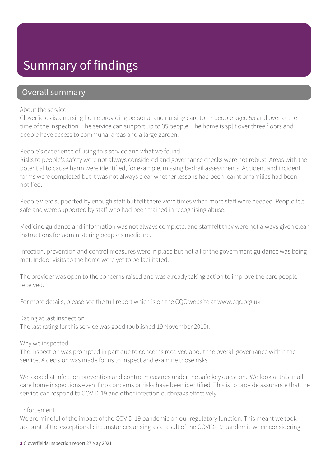## Summary of findings

#### Overall summary

#### About the service

Cloverfields is a nursing home providing personal and nursing care to 17 people aged 55 and over at the time of the inspection. The service can support up to 35 people. The home is split over three floors and people have access to communal areas and a large garden.

People's experience of using this service and what we found

Risks to people's safety were not always considered and governance checks were not robust. Areas with the potential to cause harm were identified, for example, missing bedrail assessments. Accident and incident forms were completed but it was not always clear whether lessons had been learnt or families had been notified.

People were supported by enough staff but felt there were times when more staff were needed. People felt safe and were supported by staff who had been trained in recognising abuse.

Medicine guidance and information was not always complete, and staff felt they were not always given clear instructions for administering people's medicine.

Infection, prevention and control measures were in place but not all of the government guidance was being met. Indoor visits to the home were yet to be facilitated.

The provider was open to the concerns raised and was already taking action to improve the care people received.

For more details, please see the full report which is on the CQC website at www.cqc.org.uk

Rating at last inspection

The last rating for this service was good (published 19 November 2019).

#### Why we inspected

The inspection was prompted in part due to concerns received about the overall governance within the service. A decision was made for us to inspect and examine those risks.

We looked at infection prevention and control measures under the safe key question. We look at this in all care home inspections even if no concerns or risks have been identified. This is to provide assurance that the service can respond to COVID-19 and other infection outbreaks effectively.

#### Enforcement

We are mindful of the impact of the COVID-19 pandemic on our regulatory function. This meant we took account of the exceptional circumstances arising as a result of the COVID-19 pandemic when considering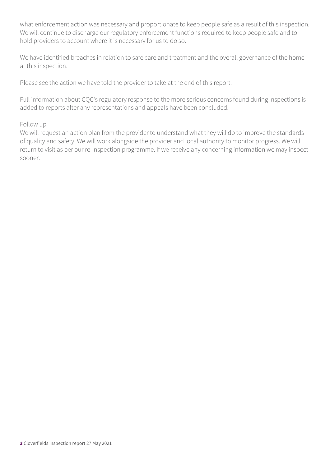what enforcement action was necessary and proportionate to keep people safe as a result of this inspection. We will continue to discharge our regulatory enforcement functions required to keep people safe and to hold providers to account where it is necessary for us to do so.

We have identified breaches in relation to safe care and treatment and the overall governance of the home at this inspection.

Please see the action we have told the provider to take at the end of this report.

Full information about CQC's regulatory response to the more serious concerns found during inspections is added to reports after any representations and appeals have been concluded.

#### Follow up

We will request an action plan from the provider to understand what they will do to improve the standards of quality and safety. We will work alongside the provider and local authority to monitor progress. We will return to visit as per our re-inspection programme. If we receive any concerning information we may inspect sooner.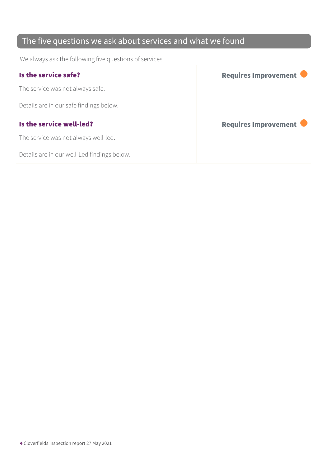### The five questions we ask about services and what we found

We always ask the following five questions of services.

| Is the service safe?                    | Requires Improvement |
|-----------------------------------------|----------------------|
| The service was not always safe.        |                      |
| Details are in our safe findings below. |                      |
|                                         |                      |
| Is the service well-led?                | Requires Improvement |
| The service was not always well-led.    |                      |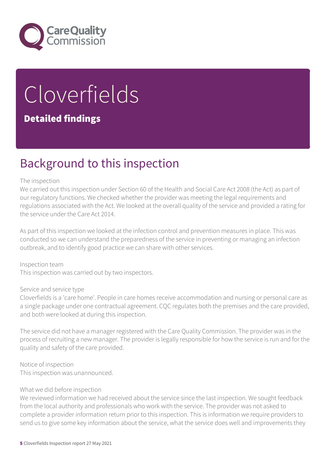

# Cloverfields

#### Detailed findings

## Background to this inspection

#### The inspection

We carried out this inspection under Section 60 of the Health and Social Care Act 2008 (the Act) as part of our regulatory functions. We checked whether the provider was meeting the legal requirements and regulations associated with the Act. We looked at the overall quality of the service and provided a rating for the service under the Care Act 2014.

As part of this inspection we looked at the infection control and prevention measures in place. This was conducted so we can understand the preparedness of the service in preventing or managing an infection outbreak, and to identify good practice we can share with other services.

Inspection team This inspection was carried out by two inspectors.

#### Service and service type

Cloverfields is a 'care home'. People in care homes receive accommodation and nursing or personal care as a single package under one contractual agreement. CQC regulates both the premises and the care provided, and both were looked at during this inspection.

The service did not have a manager registered with the Care Quality Commission. The provider was in the process of recruiting a new manager. The provider is legally responsible for how the service is run and for the quality and safety of the care provided.

Notice of inspection This inspection was unannounced.

#### What we did before inspection

We reviewed information we had received about the service since the last inspection. We sought feedback from the local authority and professionals who work with the service. The provider was not asked to complete a provider information return prior to this inspection. This is information we require providers to send us to give some key information about the service, what the service does well and improvements they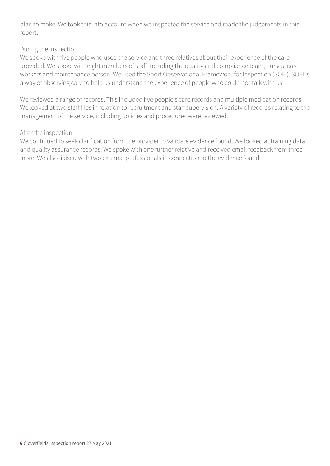plan to make. We took this into account when we inspected the service and made the judgements in this report.

#### During the inspection

We spoke with five people who used the service and three relatives about their experience of the care provided. We spoke with eight members of staff including the quality and compliance team, nurses, care workers and maintenance person. We used the Short Observational Framework for Inspection (SOFI). SOFI is a way of observing care to help us understand the experience of people who could not talk with us.

We reviewed a range of records. This included five people's care records and multiple medication records. We looked at two staff files in relation to recruitment and staff supervision. A variety of records relating to the management of the service, including policies and procedures were reviewed.

#### After the inspection

We continued to seek clarification from the provider to validate evidence found. We looked at training data and quality assurance records. We spoke with one further relative and received email feedback from three more. We also liaised with two external professionals in connection to the evidence found.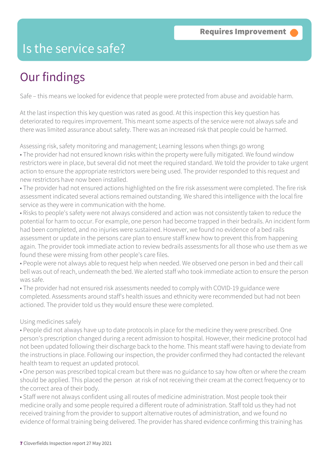## Is the service safe?

## Our findings

Safe – this means we looked for evidence that people were protected from abuse and avoidable harm.

At the last inspection this key question was rated as good. At this inspection this key question has deteriorated to requires improvement. This meant some aspects of the service were not always safe and there was limited assurance about safety. There was an increased risk that people could be harmed.

Assessing risk, safety monitoring and management; Learning lessons when things go wrong • The provider had not ensured known risks within the property were fully mitigated. We found window restrictors were in place, but several did not meet the required standard. We told the provider to take urgent action to ensure the appropriate restrictors were being used. The provider responded to this request and new restrictors have now been installed.

• The provider had not ensured actions highlighted on the fire risk assessment were completed. The fire risk assessment indicated several actions remained outstanding. We shared this intelligence with the local fire service as they were in communication with the home.

• Risks to people's safety were not always considered and action was not consistently taken to reduce the potential for harm to occur. For example, one person had become trapped in their bedrails. An incident form had been completed, and no injuries were sustained. However, we found no evidence of a bed rails assessment or update in the persons care plan to ensure staff knew how to prevent this from happening again. The provider took immediate action to review bedrails assessments for all those who use them as we found these were missing from other people's care files.

• People were not always able to request help when needed. We observed one person in bed and their call bell was out of reach, underneath the bed. We alerted staff who took immediate action to ensure the person was safe.

• The provider had not ensured risk assessments needed to comply with COVID-19 guidance were completed. Assessments around staff's health issues and ethnicity were recommended but had not been actioned. The provider told us they would ensure these were completed.

#### Using medicines safely

• People did not always have up to date protocols in place for the medicine they were prescribed. One person's prescription changed during a recent admission to hospital. However, their medicine protocol had not been updated following their discharge back to the home. This meant staff were having to deviate from the instructions in place. Following our inspection, the provider confirmed they had contacted the relevant health team to request an updated protocol.

• One person was prescribed topical cream but there was no guidance to say how often or where the cream should be applied. This placed the person at risk of not receiving their cream at the correct frequency or to the correct area of their body.

• Staff were not always confident using all routes of medicine administration. Most people took their medicine orally and some people required a different route of administration. Staff told us they had not received training from the provider to support alternative routes of administration, and we found no evidence of formal training being delivered. The provider has shared evidence confirming this training has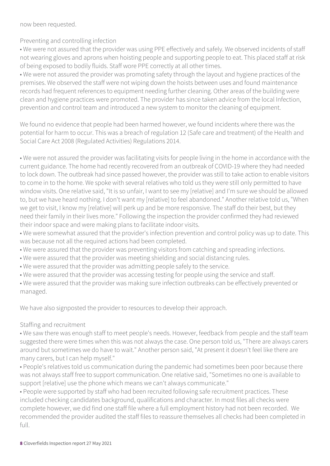now been requested.

#### Preventing and controlling infection

• We were not assured that the provider was using PPE effectively and safely. We observed incidents of staff not wearing gloves and aprons when hoisting people and supporting people to eat. This placed staff at risk of being exposed to bodily fluids. Staff wore PPE correctly at all other times.

• We were not assured the provider was promoting safety through the layout and hygiene practices of the premises. We observed the staff were not wiping down the hoists between uses and found maintenance records had frequent references to equipment needing further cleaning. Other areas of the building were clean and hygiene practices were promoted. The provider has since taken advice from the local Infection, prevention and control team and introduced a new system to monitor the cleaning of equipment.

We found no evidence that people had been harmed however, we found incidents where there was the potential for harm to occur. This was a breach of regulation 12 (Safe care and treatment) of the Health and Social Care Act 2008 (Regulated Activities) Regulations 2014.

• We were not assured the provider was facilitating visits for people living in the home in accordance with the current guidance. The home had recently recovered from an outbreak of COVID-19 where they had needed to lock down. The outbreak had since passed however, the provider was still to take action to enable visitors to come in to the home. We spoke with several relatives who told us they were still only permitted to have window visits. One relative said, "It is so unfair, I want to see my [relative] and I'm sure we should be allowed to, but we have heard nothing. I don't want my [relative] to feel abandoned." Another relative told us, "When we get to visit, I know my [relative] will perk up and be more responsive. The staff do their best, but they need their family in their lives more." Following the inspection the provider confirmed they had reviewed their indoor space and were making plans to facilitate indoor visits.

• We were somewhat assured that the provider's infection prevention and control policy was up to date. This was because not all the required actions had been completed.

- We were assured that the provider was preventing visitors from catching and spreading infections.
- We were assured that the provider was meeting shielding and social distancing rules.
- We were assured that the provider was admitting people safely to the service.
- We were assured that the provider was accessing testing for people using the service and staff.

• We were assured that the provider was making sure infection outbreaks can be effectively prevented or managed.

We have also signposted the provider to resources to develop their approach.

#### Staffing and recruitment

• We saw there was enough staff to meet people's needs. However, feedback from people and the staff team suggested there were times when this was not always the case. One person told us, "There are always carers around but sometimes we do have to wait." Another person said, "At present it doesn't feel like there are many carers, but I can help myself."

• People's relatives told us communication during the pandemic had sometimes been poor because there was not always staff free to support communication. One relative said, "Sometimes no one is available to support [relative] use the phone which means we can't always communicate."

• People were supported by staff who had been recruited following safe recruitment practices. These included checking candidates background, qualifications and character. In most files all checks were complete however, we did find one staff file where a full employment history had not been recorded. We recommended the provider audited the staff files to reassure themselves all checks had been completed in full.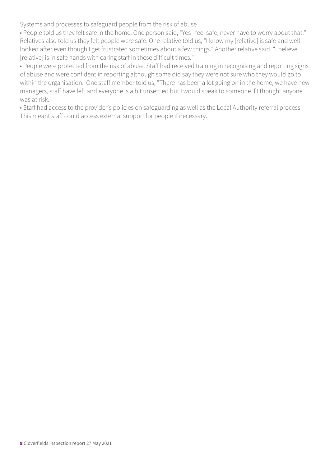Systems and processes to safeguard people from the risk of abuse

• People told us they felt safe in the home. One person said, "Yes I feel safe, never have to worry about that." Relatives also told us they felt people were safe. One relative told us, "I know my [relative] is safe and well looked after even though I get frustrated sometimes about a few things." Another relative said, "I believe [relative] is in safe hands with caring staff in these difficult times."

• People were protected from the risk of abuse. Staff had received training in recognising and reporting signs of abuse and were confident in reporting although some did say they were not sure who they would go to within the organisation. One staff member told us, "There has been a lot going on in the home, we have new managers, staff have left and everyone is a bit unsettled but I would speak to someone if I thought anyone was at risk."

• Staff had access to the provider's policies on safeguarding as well as the Local Authority referral process. This meant staff could access external support for people if necessary.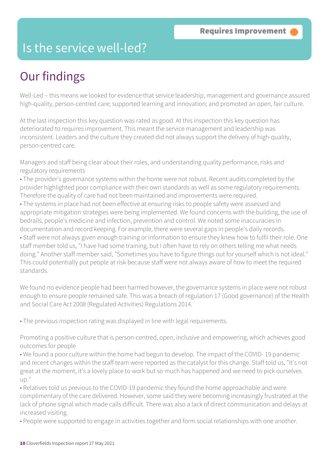## Is the service well-led?

## Our findings

Well-Led – this means we looked for evidence that service leadership, management and governance assured high-quality, person-centred care; supported learning and innovation; and promoted an open, fair culture.

At the last inspection this key question was rated as good. At this inspection this key question has deteriorated to requires improvement. This meant the service management and leadership was inconsistent. Leaders and the culture they created did not always support the delivery of high-quality, person-centred care.

Managers and staff being clear about their roles, and understanding quality performance, risks and regulatory requirements

- The provider's governance systems within the home were not robust. Recent audits completed by the provider highlighted poor compliance with their own standards as well as some regulatory requirements. Therefore the quality of care had not been maintained and improvements were required.
- The systems in place had not been effective at ensuring risks to people safety were assessed and appropriate mitigation strategies were being implemented. We found concerns with the building, the use of bedrails, people's medicine and infection, prevention and control. We noted some inaccuracies in documentation and record keeping. For example, there were several gaps in people's daily records. • Staff were not always given enough training or information to ensure they knew how to fulfil their role. One staff member told us, "I have had some training, but I often have to rely on others telling me what needs doing." Another staff member said, "Sometimes you have to figure things out for yourself which is not ideal." This could potentially put people at risk because staff were not always aware of how to meet the required standards.

We found no evidence people had been harmed however, the governance systems in place were not robust enough to ensure people remained safe. This was a breach of regulation 17 (Good governance) of the Health and Social Care Act 2008 (Regulated Activities) Regulations 2014.

• The previous inspection rating was displayed in line with legal requirements.

Promoting a positive culture that is person-centred, open, inclusive and empowering, which achieves good outcomes for people

• We found a poor culture within the home had begun to develop. The impact of the COVID- 19 pandemic and recent changes within the staff team were reported as the catalyst for this change. Staff told us, "It's not great at the moment, it's a lovely place to work but so much has happened and we need to pick ourselves up."

• Relatives told us previous to the COVID-19 pandemic they found the home approachable and were complimentary of the care delivered. However, some said they were becoming increasingly frustrated at the lack of phone signal which made calls difficult. There was also a lack of direct communication and delays at increased visiting.

• People were supported to engage in activities together and form social relationships with one another.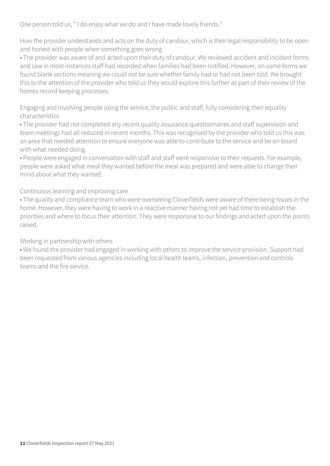One person told us, " I do enjoy what we do and I have made lovely friends."

How the provider understands and acts on the duty of candour, which is their legal responsibility to be open and honest with people when something goes wrong

• The provider was aware of and acted upon their duty of candour. We reviewed accident and incident forms and saw in most instances staff had recorded when families had been notified. However, on some forms we found blank sections meaning we could not be sure whether family had or had not been told. We brought this to the attention of the provider who told us they would explore this further as part of their review of the homes record keeping processes.

Engaging and involving people using the service, the public and staff, fully considering their equality characteristics

• The provider had not completed any recent quality assurance questionnaires and staff supervision and team meetings had all reduced in recent months. This was recognised by the provider who told us this was an area that needed attention to ensure everyone was able to contribute to the service and be on board with what needed doing.

• People were engaged in conversation with staff and staff were responsive to their requests. For example, people were asked what meal they wanted before the meal was prepared and were able to change their mind about what they wanted.

Continuous learning and improving care

• The quality and compliance team who were overseeing Cloverfields were aware of there being issues in the home. However, they were having to work in a reactive manner having not yet had time to establish the priorities and where to focus their attention. They were responsive to our findings and acted upon the points raised.

Working in partnership with others

• We found the provider had engaged in working with others to improve the service provision. Support had been requested from various agencies including local health teams, infection, prevention and controls teams and the fire service.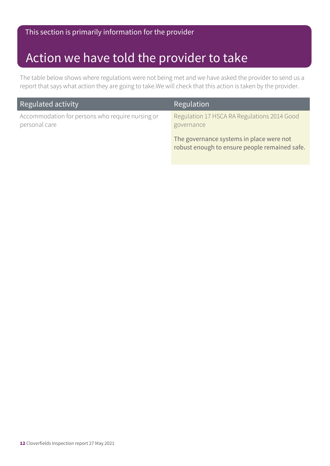## Action we have told the provider to take

The table below shows where regulations were not being met and we have asked the provider to send us a report that says what action they are going to take.We will check that this action is taken by the provider.

| Regulated activity                                                | Regulation                                                                                |
|-------------------------------------------------------------------|-------------------------------------------------------------------------------------------|
| Accommodation for persons who require nursing or<br>personal care | Regulation 17 HSCA RA Regulations 2014 Good<br>governance                                 |
|                                                                   | The governance systems in place were not<br>robust enough to ensure people remained safe. |